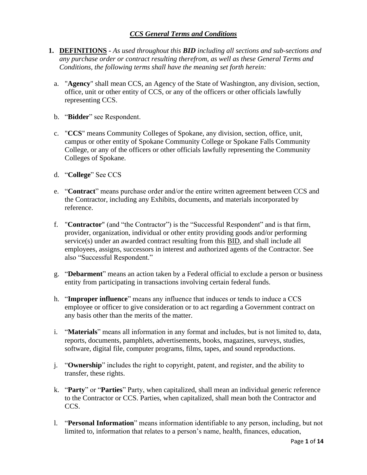### *CCS General Terms and Conditions*

- **1. DEFINITIONS -** *As used throughout this BID including all sections and sub-sections and any purchase order or contract resulting therefrom, as well as these General Terms and Conditions, the following terms shall have the meaning set forth herein:*
	- a. "**Agency**" shall mean CCS, an Agency of the State of Washington, any division, section, office, unit or other entity of CCS, or any of the officers or other officials lawfully representing CCS.
	- b. "**Bidder**" see Respondent.
	- c. "**CCS**" means Community Colleges of Spokane, any division, section, office, unit, campus or other entity of Spokane Community College or Spokane Falls Community College, or any of the officers or other officials lawfully representing the Community Colleges of Spokane.
	- d. "**College**" See CCS
	- e. "**Contract**" means purchase order and/or the entire written agreement between CCS and the Contractor, including any Exhibits, documents, and materials incorporated by reference.
	- f. "**Contractor**" (and "the Contractor") is the "Successful Respondent" and is that firm, provider, organization, individual or other entity providing goods and/or performing service(s) under an awarded contract resulting from this BID, and shall include all employees, assigns, successors in interest and authorized agents of the Contractor. See also "Successful Respondent."
	- g. "**Debarment**" means an action taken by a Federal official to exclude a person or business entity from participating in transactions involving certain federal funds.
	- h. "**Improper influence**" means any influence that induces or tends to induce a CCS employee or officer to give consideration or to act regarding a Government contract on any basis other than the merits of the matter.
	- i. "**Materials**" means all information in any format and includes, but is not limited to, data, reports, documents, pamphlets, advertisements, books, magazines, surveys, studies, software, digital file, computer programs, films, tapes, and sound reproductions.
	- j. "**Ownership**" includes the right to copyright, patent, and register, and the ability to transfer, these rights.
	- k. "**Party**" or "**Parties**" Party, when capitalized, shall mean an individual generic reference to the Contractor or CCS. Parties, when capitalized, shall mean both the Contractor and CCS.
	- l. "**Personal Information**" means information identifiable to any person, including, but not limited to, information that relates to a person's name, health, finances, education,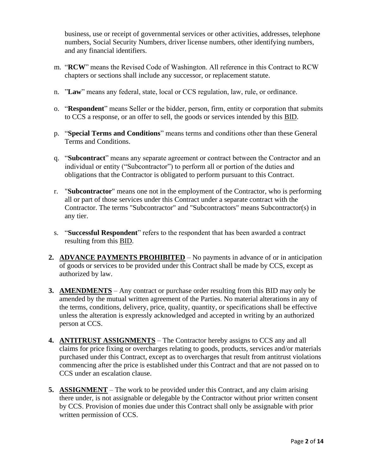business, use or receipt of governmental services or other activities, addresses, telephone numbers, Social Security Numbers, driver license numbers, other identifying numbers, and any financial identifiers.

- m. "**RCW**" means the Revised Code of Washington. All reference in this Contract to RCW chapters or sections shall include any successor, or replacement statute.
- n. "**Law**" means any federal, state, local or CCS regulation, law, rule, or ordinance.
- o. "**Respondent**" means Seller or the bidder, person, firm, entity or corporation that submits to CCS a response, or an offer to sell, the goods or services intended by this BID.
- p. "**Special Terms and Conditions**" means terms and conditions other than these General Terms and Conditions.
- q. "**Subcontract**" means any separate agreement or contract between the Contractor and an individual or entity ("Subcontractor") to perform all or portion of the duties and obligations that the Contractor is obligated to perform pursuant to this Contract.
- r. "**Subcontractor**" means one not in the employment of the Contractor, who is performing all or part of those services under this Contract under a separate contract with the Contractor. The terms "Subcontractor" and "Subcontractors" means Subcontractor(s) in any tier.
- s. "**Successful Respondent**" refers to the respondent that has been awarded a contract resulting from this BID.
- **2. ADVANCE PAYMENTS PROHIBITED** No payments in advance of or in anticipation of goods or services to be provided under this Contract shall be made by CCS, except as authorized by law.
- **3. AMENDMENTS** Any contract or purchase order resulting from this BID may only be amended by the mutual written agreement of the Parties. No material alterations in any of the terms, conditions, delivery, price, quality, quantity, or specifications shall be effective unless the alteration is expressly acknowledged and accepted in writing by an authorized person at CCS.
- **4. ANTITRUST ASSIGNMENTS** The Contractor hereby assigns to CCS any and all claims for price fixing or overcharges relating to goods, products, services and/or materials purchased under this Contract, except as to overcharges that result from antitrust violations commencing after the price is established under this Contract and that are not passed on to CCS under an escalation clause.
- **5. ASSIGNMENT** The work to be provided under this Contract, and any claim arising there under, is not assignable or delegable by the Contractor without prior written consent by CCS. Provision of monies due under this Contract shall only be assignable with prior written permission of CCS.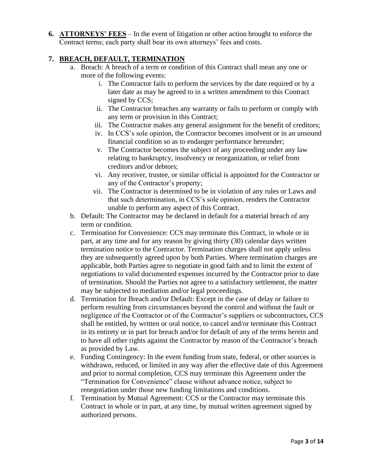**6. ATTORNEYS' FEES** – In the event of litigation or other action brought to enforce the Contract terms; each party shall bear its own attorneys' fees and costs.

# **7. BREACH, DEFAULT, TERMINATION**

- a. Breach: A breach of a term or condition of this Contract shall mean any one or more of the following events:
	- i. The Contractor fails to perform the services by the date required or by a later date as may be agreed to in a written amendment to this Contract signed by CCS;
	- ii. The Contractor breaches any warranty or fails to perform or comply with any term or provision in this Contract;
	- iii. The Contractor makes any general assignment for the benefit of creditors;
	- iv. In CCS's sole opinion, the Contractor becomes insolvent or in an unsound financial condition so as to endanger performance hereunder;
	- v. The Contractor becomes the subject of any proceeding under any law relating to bankruptcy, insolvency or reorganization, or relief from creditors and/or debtors;
	- vi. Any receiver, trustee, or similar official is appointed for the Contractor or any of the Contractor's property;
	- vii. The Contractor is determined to be in violation of any rules or Laws and that such determination, in CCS's sole opinion, renders the Contractor unable to perform any aspect of this Contract.
- b. Default: The Contractor may be declared in default for a material breach of any term or condition.
- c. Termination for Convenience: CCS may terminate this Contract, in whole or in part, at any time and for any reason by giving thirty (30) calendar days written termination notice to the Contractor. Termination charges shall not apply unless they are subsequently agreed upon by both Parties. Where termination charges are applicable, both Parties agree to negotiate in good faith and to limit the extent of negotiations to valid documented expenses incurred by the Contractor prior to date of termination. Should the Parties not agree to a satisfactory settlement, the matter may be subjected to mediation and/or legal proceedings.
- d. Termination for Breach and/or Default: Except in the case of delay or failure to perform resulting from circumstances beyond the control and without the fault or negligence of the Contractor or of the Contractor's suppliers or subcontractors, CCS shall be entitled, by written or oral notice, to cancel and/or terminate this Contract in its entirety or in part for breach and/or for default of any of the terms herein and to have all other rights against the Contractor by reason of the Contractor's breach as provided by Law.
- e. Funding Contingency: In the event funding from state, federal, or other sources is withdrawn, reduced, or limited in any way after the effective date of this Agreement and prior to normal completion, CCS may terminate this Agreement under the "Termination for Convenience" clause without advance notice, subject to renegotiation under those new funding limitations and conditions.
- f. Termination by Mutual Agreement: CCS or the Contractor may terminate this Contract in whole or in part, at any time, by mutual written agreement signed by authorized persons.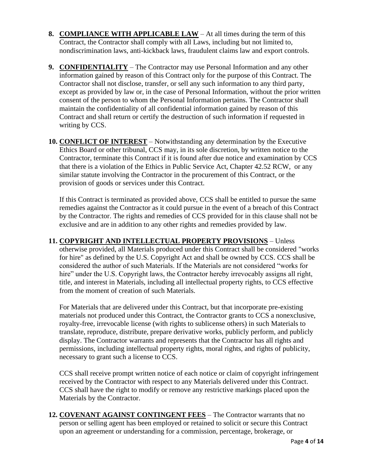- **8. COMPLIANCE WITH APPLICABLE LAW** At all times during the term of this Contract, the Contractor shall comply with all Laws, including but not limited to, nondiscrimination laws, anti-kickback laws, fraudulent claims law and export controls.
- **9. CONFIDENTIALITY** The Contractor may use Personal Information and any other information gained by reason of this Contract only for the purpose of this Contract. The Contractor shall not disclose, transfer, or sell any such information to any third party, except as provided by law or, in the case of Personal Information, without the prior written consent of the person to whom the Personal Information pertains. The Contractor shall maintain the confidentiality of all confidential information gained by reason of this Contract and shall return or certify the destruction of such information if requested in writing by CCS.
- **10. CONFLICT OF INTEREST** Notwithstanding any determination by the Executive Ethics Board or other tribunal, CCS may, in its sole discretion, by written notice to the Contractor, terminate this Contract if it is found after due notice and examination by CCS that there is a violation of the Ethics in Public Service Act, Chapter 42.52 RCW, or any similar statute involving the Contractor in the procurement of this Contract, or the provision of goods or services under this Contract.

If this Contract is terminated as provided above, CCS shall be entitled to pursue the same remedies against the Contractor as it could pursue in the event of a breach of this Contract by the Contractor. The rights and remedies of CCS provided for in this clause shall not be exclusive and are in addition to any other rights and remedies provided by law.

**11. COPYRIGHT AND INTELLECTUAL PROPERTY PROVISIONS** – Unless otherwise provided, all Materials produced under this Contract shall be considered "works for hire" as defined by the U.S. Copyright Act and shall be owned by CCS. CCS shall be considered the author of such Materials. If the Materials are not considered "works for hire" under the U.S. Copyright laws, the Contractor hereby irrevocably assigns all right, title, and interest in Materials, including all intellectual property rights, to CCS effective from the moment of creation of such Materials.

For Materials that are delivered under this Contract, but that incorporate pre-existing materials not produced under this Contract, the Contractor grants to CCS a nonexclusive, royalty-free, irrevocable license (with rights to sublicense others) in such Materials to translate, reproduce, distribute, prepare derivative works, publicly perform, and publicly display. The Contractor warrants and represents that the Contractor has all rights and permissions, including intellectual property rights, moral rights, and rights of publicity, necessary to grant such a license to CCS.

CCS shall receive prompt written notice of each notice or claim of copyright infringement received by the Contractor with respect to any Materials delivered under this Contract. CCS shall have the right to modify or remove any restrictive markings placed upon the Materials by the Contractor.

**12. COVENANT AGAINST CONTINGENT FEES** – The Contractor warrants that no person or selling agent has been employed or retained to solicit or secure this Contract upon an agreement or understanding for a commission, percentage, brokerage, or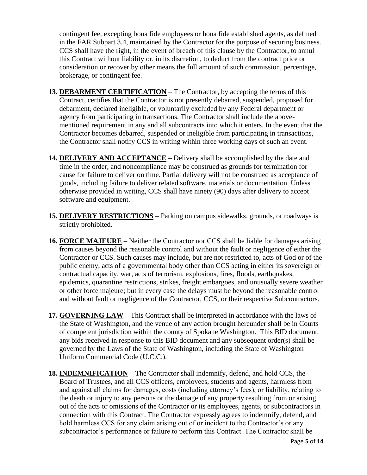contingent fee, excepting bona fide employees or bona fide established agents, as defined in the FAR Subpart 3.4, maintained by the Contractor for the purpose of securing business. CCS shall have the right, in the event of breach of this clause by the Contractor, to annul this Contract without liability or, in its discretion, to deduct from the contract price or consideration or recover by other means the full amount of such commission, percentage, brokerage, or contingent fee.

- **13. DEBARMENT CERTIFICATION** The Contractor, by accepting the terms of this Contract, certifies that the Contractor is not presently debarred, suspended, proposed for debarment, declared ineligible, or voluntarily excluded by any Federal department or agency from participating in transactions. The Contractor shall include the abovementioned requirement in any and all subcontracts into which it enters. In the event that the Contractor becomes debarred, suspended or ineligible from participating in transactions, the Contractor shall notify CCS in writing within three working days of such an event.
- **14. DELIVERY AND ACCEPTANCE** Delivery shall be accomplished by the date and time in the order, and noncompliance may be construed as grounds for termination for cause for failure to deliver on time. Partial delivery will not be construed as acceptance of goods, including failure to deliver related software, materials or documentation. Unless otherwise provided in writing, CCS shall have ninety (90) days after delivery to accept software and equipment.
- **15. DELIVERY RESTRICTIONS** Parking on campus sidewalks, grounds, or roadways is strictly prohibited.
- **16. FORCE MAJEURE** Neither the Contractor nor CCS shall be liable for damages arising from causes beyond the reasonable control and without the fault or negligence of either the Contractor or CCS. Such causes may include, but are not restricted to, acts of God or of the public enemy, acts of a governmental body other than CCS acting in either its sovereign or contractual capacity, war, acts of terrorism, explosions, fires, floods, earthquakes, epidemics, quarantine restrictions, strikes, freight embargoes, and unusually severe weather or other force majeure; but in every case the delays must be beyond the reasonable control and without fault or negligence of the Contractor, CCS, or their respective Subcontractors.
- **17. GOVERNING LAW** This Contract shall be interpreted in accordance with the laws of the State of Washington, and the venue of any action brought hereunder shall be in Courts of competent jurisdiction within the county of Spokane Washington. This BID document, any bids received in response to this BID document and any subsequent order(s) shall be governed by the Laws of the State of Washington, including the State of Washington Uniform Commercial Code (U.C.C.).
- **18. INDEMNIFICATION** The Contractor shall indemnify, defend, and hold CCS, the Board of Trustees, and all CCS officers, employees, students and agents, harmless from and against all claims for damages, costs (including attorney's fees), or liability, relating to the death or injury to any persons or the damage of any property resulting from or arising out of the acts or omissions of the Contractor or its employees, agents, or subcontractors in connection with this Contract. The Contractor expressly agrees to indemnify, defend, and hold harmless CCS for any claim arising out of or incident to the Contractor's or any subcontractor's performance or failure to perform this Contract. The Contractor shall be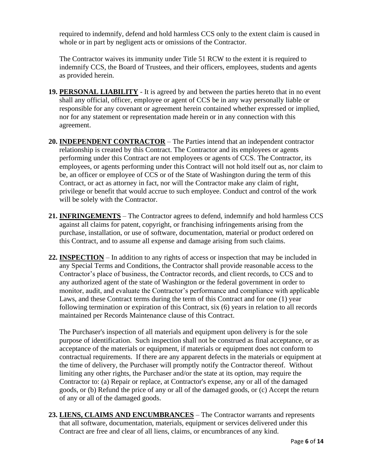required to indemnify, defend and hold harmless CCS only to the extent claim is caused in whole or in part by negligent acts or omissions of the Contractor.

The Contractor waives its immunity under Title 51 RCW to the extent it is required to indemnify CCS, the Board of Trustees, and their officers, employees, students and agents as provided herein.

- **19. PERSONAL LIABILITY** It is agreed by and between the parties hereto that in no event shall any official, officer, employee or agent of CCS be in any way personally liable or responsible for any covenant or agreement herein contained whether expressed or implied, nor for any statement or representation made herein or in any connection with this agreement.
- **20. INDEPENDENT CONTRACTOR** The Parties intend that an independent contractor relationship is created by this Contract. The Contractor and its employees or agents performing under this Contract are not employees or agents of CCS. The Contractor, its employees, or agents performing under this Contract will not hold itself out as, nor claim to be, an officer or employee of CCS or of the State of Washington during the term of this Contract, or act as attorney in fact, nor will the Contractor make any claim of right, privilege or benefit that would accrue to such employee. Conduct and control of the work will be solely with the Contractor.
- **21. INFRINGEMENTS** The Contractor agrees to defend, indemnify and hold harmless CCS against all claims for patent, copyright, or franchising infringements arising from the purchase, installation, or use of software, documentation, material or product ordered on this Contract, and to assume all expense and damage arising from such claims.
- **22. INSPECTION** In addition to any rights of access or inspection that may be included in any Special Terms and Conditions, the Contractor shall provide reasonable access to the Contractor's place of business, the Contractor records, and client records, to CCS and to any authorized agent of the state of Washington or the federal government in order to monitor, audit, and evaluate the Contractor's performance and compliance with applicable Laws, and these Contract terms during the term of this Contract and for one (1) year following termination or expiration of this Contract, six (6) years in relation to all records maintained per Records Maintenance clause of this Contract.

The Purchaser's inspection of all materials and equipment upon delivery is for the sole purpose of identification. Such inspection shall not be construed as final acceptance, or as acceptance of the materials or equipment, if materials or equipment does not conform to contractual requirements. If there are any apparent defects in the materials or equipment at the time of delivery, the Purchaser will promptly notify the Contractor thereof. Without limiting any other rights, the Purchaser and/or the state at its option, may require the Contractor to: (a) Repair or replace, at Contractor's expense, any or all of the damaged goods, or (b) Refund the price of any or all of the damaged goods, or (c) Accept the return of any or all of the damaged goods.

**23. LIENS, CLAIMS AND ENCUMBRANCES** – The Contractor warrants and represents that all software, documentation, materials, equipment or services delivered under this Contract are free and clear of all liens, claims, or encumbrances of any kind.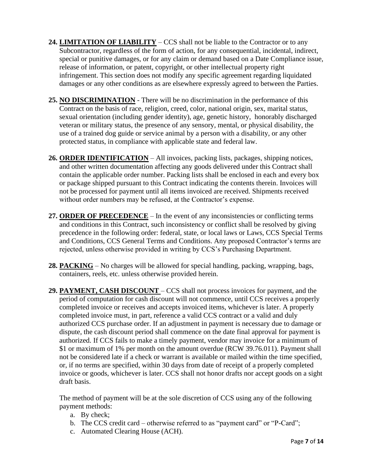- **24. LIMITATION OF LIABILITY** CCS shall not be liable to the Contractor or to any Subcontractor, regardless of the form of action, for any consequential, incidental, indirect, special or punitive damages, or for any claim or demand based on a Date Compliance issue, release of information, or patent, copyright, or other intellectual property right infringement. This section does not modify any specific agreement regarding liquidated damages or any other conditions as are elsewhere expressly agreed to between the Parties.
- **25. NO DISCRIMINATION** There will be no discrimination in the performance of this Contract on the basis of race, religion, creed, color, national origin, sex, marital status, sexual orientation (including gender identity), age, genetic history, honorably discharged veteran or military status, the presence of any sensory, mental, or physical disability, the use of a trained dog guide or service animal by a person with a disability, or any other protected status, in compliance with applicable state and federal law.
- **26. ORDER IDENTIFICATION** All invoices, packing lists, packages, shipping notices, and other written documentation affecting any goods delivered under this Contract shall contain the applicable order number. Packing lists shall be enclosed in each and every box or package shipped pursuant to this Contract indicating the contents therein. Invoices will not be processed for payment until all items invoiced are received. Shipments received without order numbers may be refused, at the Contractor's expense.
- **27. ORDER OF PRECEDENCE** In the event of any inconsistencies or conflicting terms and conditions in this Contract, such inconsistency or conflict shall be resolved by giving precedence in the following order: federal, state, or local laws or Laws, CCS Special Terms and Conditions, CCS General Terms and Conditions. Any proposed Contractor's terms are rejected, unless otherwise provided in writing by CCS's Purchasing Department.
- **28. PACKING** No charges will be allowed for special handling, packing, wrapping, bags, containers, reels, etc. unless otherwise provided herein.
- **29. PAYMENT, CASH DISCOUNT**  CCS shall not process invoices for payment, and the period of computation for cash discount will not commence, until CCS receives a properly completed invoice or receives and accepts invoiced items, whichever is later. A properly completed invoice must, in part, reference a valid CCS contract or a valid and duly authorized CCS purchase order. If an adjustment in payment is necessary due to damage or dispute, the cash discount period shall commence on the date final approval for payment is authorized. If CCS fails to make a timely payment, vendor may invoice for a minimum of \$1 or maximum of 1% per month on the amount overdue (RCW 39.76.011). Payment shall not be considered late if a check or warrant is available or mailed within the time specified, or, if no terms are specified, within 30 days from date of receipt of a properly completed invoice or goods, whichever is later. CCS shall not honor drafts nor accept goods on a sight draft basis.

The method of payment will be at the sole discretion of CCS using any of the following payment methods:

- a. By check;
- b. The CCS credit card otherwise referred to as "payment card" or "P-Card";
- c. Automated Clearing House (ACH).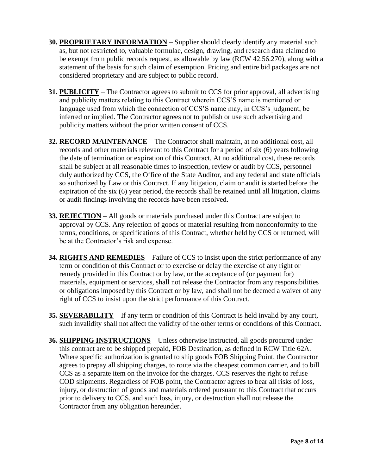- **30. PROPRIETARY INFORMATION** Supplier should clearly identify any material such as, but not restricted to, valuable formulae, design, drawing, and research data claimed to be exempt from public records request, as allowable by law (RCW 42.56.270), along with a statement of the basis for such claim of exemption. Pricing and entire bid packages are not considered proprietary and are subject to public record.
- **31. PUBLICITY** The Contractor agrees to submit to CCS for prior approval, all advertising and publicity matters relating to this Contract wherein CCS'S name is mentioned or language used from which the connection of CCS'S name may, in CCS's judgment, be inferred or implied. The Contractor agrees not to publish or use such advertising and publicity matters without the prior written consent of CCS.
- **32. RECORD MAINTENANCE** The Contractor shall maintain, at no additional cost, all records and other materials relevant to this Contract for a period of six (6) years following the date of termination or expiration of this Contract. At no additional cost, these records shall be subject at all reasonable times to inspection, review or audit by CCS, personnel duly authorized by CCS, the Office of the State Auditor, and any federal and state officials so authorized by Law or this Contract. If any litigation, claim or audit is started before the expiration of the six (6) year period, the records shall be retained until all litigation, claims or audit findings involving the records have been resolved.
- **33. REJECTION** All goods or materials purchased under this Contract are subject to approval by CCS. Any rejection of goods or material resulting from nonconformity to the terms, conditions, or specifications of this Contract, whether held by CCS or returned, will be at the Contractor's risk and expense.
- **34. RIGHTS AND REMEDIES** Failure of CCS to insist upon the strict performance of any term or condition of this Contract or to exercise or delay the exercise of any right or remedy provided in this Contract or by law, or the acceptance of (or payment for) materials, equipment or services, shall not release the Contractor from any responsibilities or obligations imposed by this Contract or by law, and shall not be deemed a waiver of any right of CCS to insist upon the strict performance of this Contract.
- **35. SEVERABILITY** If any term or condition of this Contract is held invalid by any court, such invalidity shall not affect the validity of the other terms or conditions of this Contract.
- **36. SHIPPING INSTRUCTIONS** Unless otherwise instructed, all goods procured under this contract are to be shipped prepaid, FOB Destination, as defined in RCW Title 62A. Where specific authorization is granted to ship goods FOB Shipping Point, the Contractor agrees to prepay all shipping charges, to route via the cheapest common carrier, and to bill CCS as a separate item on the invoice for the charges. CCS reserves the right to refuse COD shipments. Regardless of FOB point, the Contractor agrees to bear all risks of loss, injury, or destruction of goods and materials ordered pursuant to this Contract that occurs prior to delivery to CCS, and such loss, injury, or destruction shall not release the Contractor from any obligation hereunder.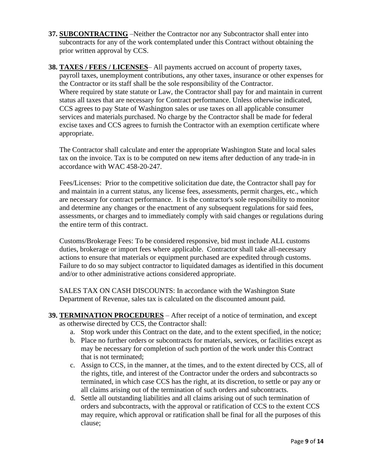- **37. SUBCONTRACTING** –Neither the Contractor nor any Subcontractor shall enter into subcontracts for any of the work contemplated under this Contract without obtaining the prior written approval by CCS.
- **38. TAXES / FEES / LICENSES** All payments accrued on account of property taxes, payroll taxes, unemployment contributions, any other taxes, insurance or other expenses for the Contractor or its staff shall be the sole responsibility of the Contractor. Where required by state statute or Law, the Contractor shall pay for and maintain in current status all taxes that are necessary for Contract performance. Unless otherwise indicated, CCS agrees to pay State of Washington sales or use taxes on all applicable consumer services and materials purchased. No charge by the Contractor shall be made for federal excise taxes and CCS agrees to furnish the Contractor with an exemption certificate where appropriate.

The Contractor shall calculate and enter the appropriate Washington State and local sales tax on the invoice. Tax is to be computed on new items after deduction of any trade-in in accordance with WAC 458-20-247.

Fees/Licenses: Prior to the competitive solicitation due date, the Contractor shall pay for and maintain in a current status, any license fees, assessments, permit charges, etc., which are necessary for contract performance. It is the contractor's sole responsibility to monitor and determine any changes or the enactment of any subsequent regulations for said fees, assessments, or charges and to immediately comply with said changes or regulations during the entire term of this contract.

Customs/Brokerage Fees: To be considered responsive, bid must include ALL customs duties, brokerage or import fees where applicable. Contractor shall take all-necessary actions to ensure that materials or equipment purchased are expedited through customs. Failure to do so may subject contractor to liquidated damages as identified in this document and/or to other administrative actions considered appropriate.

SALES TAX ON CASH DISCOUNTS: In accordance with the Washington State Department of Revenue, sales tax is calculated on the discounted amount paid.

- **39. TERMINATION PROCEDURES** After receipt of a notice of termination, and except as otherwise directed by CCS, the Contractor shall:
	- a. Stop work under this Contract on the date, and to the extent specified, in the notice;
	- b. Place no further orders or subcontracts for materials, services, or facilities except as may be necessary for completion of such portion of the work under this Contract that is not terminated;
	- c. Assign to CCS, in the manner, at the times, and to the extent directed by CCS, all of the rights, title, and interest of the Contractor under the orders and subcontracts so terminated, in which case CCS has the right, at its discretion, to settle or pay any or all claims arising out of the termination of such orders and subcontracts.
	- d. Settle all outstanding liabilities and all claims arising out of such termination of orders and subcontracts, with the approval or ratification of CCS to the extent CCS may require, which approval or ratification shall be final for all the purposes of this clause;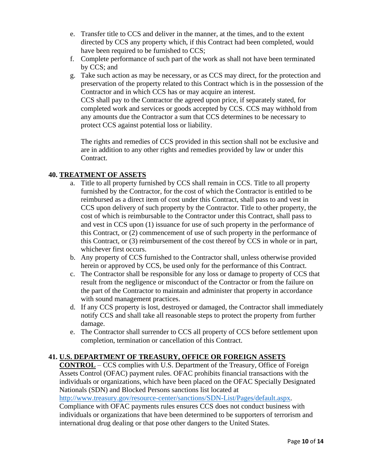- e. Transfer title to CCS and deliver in the manner, at the times, and to the extent directed by CCS any property which, if this Contract had been completed, would have been required to be furnished to CCS;
- f. Complete performance of such part of the work as shall not have been terminated by CCS; and
- g. Take such action as may be necessary, or as CCS may direct, for the protection and preservation of the property related to this Contract which is in the possession of the Contractor and in which CCS has or may acquire an interest. CCS shall pay to the Contractor the agreed upon price, if separately stated, for completed work and services or goods accepted by CCS. CCS may withhold from any amounts due the Contractor a sum that CCS determines to be necessary to protect CCS against potential loss or liability.

The rights and remedies of CCS provided in this section shall not be exclusive and are in addition to any other rights and remedies provided by law or under this Contract.

### **40. TREATMENT OF ASSETS**

- a. Title to all property furnished by CCS shall remain in CCS. Title to all property furnished by the Contractor, for the cost of which the Contractor is entitled to be reimbursed as a direct item of cost under this Contract, shall pass to and vest in CCS upon delivery of such property by the Contractor. Title to other property, the cost of which is reimbursable to the Contractor under this Contract, shall pass to and vest in CCS upon (1) issuance for use of such property in the performance of this Contract, or (2) commencement of use of such property in the performance of this Contract, or (3) reimbursement of the cost thereof by CCS in whole or in part, whichever first occurs.
- b. Any property of CCS furnished to the Contractor shall, unless otherwise provided herein or approved by CCS, be used only for the performance of this Contract.
- c. The Contractor shall be responsible for any loss or damage to property of CCS that result from the negligence or misconduct of the Contractor or from the failure on the part of the Contractor to maintain and administer that property in accordance with sound management practices.
- d. If any CCS property is lost, destroyed or damaged, the Contractor shall immediately notify CCS and shall take all reasonable steps to protect the property from further damage.
- e. The Contractor shall surrender to CCS all property of CCS before settlement upon completion, termination or cancellation of this Contract.

### **41. U.S. DEPARTMENT OF TREASURY, OFFICE OR FOREIGN ASSETS**

**CONTROL** – CCS complies with U.S. Department of the Treasury, Office of Foreign Assets Control (OFAC) payment rules. OFAC prohibits financial transactions with the individuals or organizations, which have been placed on the OFAC Specially Designated Nationals (SDN) and Blocked Persons sanctions list located at

[http://www.treasury.gov/resource-center/sanctions/SDN-List/Pages/default.aspx.](http://www.treasury.gov/resource-center/sanctions/SDN-List/Pages/default.aspx)

Compliance with OFAC payments rules ensures CCS does not conduct business with individuals or organizations that have been determined to be supporters of terrorism and international drug dealing or that pose other dangers to the United States.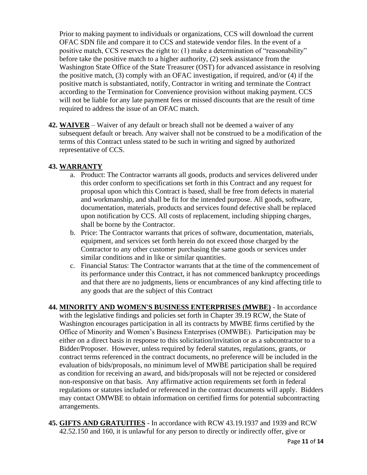Prior to making payment to individuals or organizations, CCS will download the current OFAC SDN file and compare it to CCS and statewide vendor files. In the event of a positive match, CCS reserves the right to: (1) make a determination of "reasonability" before take the positive match to a higher authority, (2) seek assistance from the Washington State Office of the State Treasurer (OST) for advanced assistance in resolving the positive match, (3) comply with an OFAC investigation, if required, and/or (4) if the positive match is substantiated, notify, Contractor in writing and terminate the Contract according to the Termination for Convenience provision without making payment. CCS will not be liable for any late payment fees or missed discounts that are the result of time required to address the issue of an OFAC match.

**42. WAIVER** – Waiver of any default or breach shall not be deemed a waiver of any subsequent default or breach. Any waiver shall not be construed to be a modification of the terms of this Contract unless stated to be such in writing and signed by authorized representative of CCS.

## **43. WARRANTY**

- a. Product: The Contractor warrants all goods, products and services delivered under this order conform to specifications set forth in this Contract and any request for proposal upon which this Contract is based, shall be free from defects in material and workmanship, and shall be fit for the intended purpose. All goods, software, documentation, materials, products and services found defective shall be replaced upon notification by CCS. All costs of replacement, including shipping charges, shall be borne by the Contractor.
- b. Price: The Contractor warrants that prices of software, documentation, materials, equipment, and services set forth herein do not exceed those charged by the Contractor to any other customer purchasing the same goods or services under similar conditions and in like or similar quantities.
- c. Financial Status: The Contractor warrants that at the time of the commencement of its performance under this Contract, it has not commenced bankruptcy proceedings and that there are no judgments, liens or encumbrances of any kind affecting title to any goods that are the subject of this Contract

**44. MINORITY AND WOMEN'S BUSINESS ENTERPRISES (MWBE)** - In accordance with the legislative findings and policies set forth in Chapter 39.19 RCW, the State of Washington encourages participation in all its contracts by MWBE firms certified by the Office of Minority and Women's Business Enterprises (OMWBE). Participation may be either on a direct basis in response to this solicitation/invitation or as a subcontractor to a Bidder/Proposer. However, unless required by federal statutes, regulations, grants, or contract terms referenced in the contract documents, no preference will be included in the evaluation of bids/proposals, no minimum level of MWBE participation shall be required as condition for receiving an award, and bids/proposals will not be rejected or considered non-responsive on that basis. Any affirmative action requirements set forth in federal regulations or statutes included or referenced in the contract documents will apply. Bidders may contact OMWBE to obtain information on certified firms for potential subcontracting arrangements.

**45. GIFTS AND GRATUITIES** - In accordance with RCW 43.19.1937 and 1939 and RCW 42.52.150 and 160, it is unlawful for any person to directly or indirectly offer, give or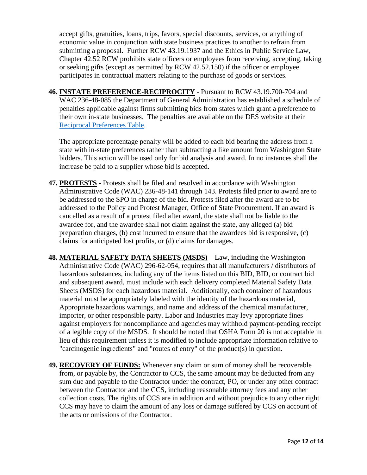accept gifts, gratuities, loans, trips, favors, special discounts, services, or anything of economic value in conjunction with state business practices to another to refrain from submitting a proposal. Further RCW 43.19.1937 and the Ethics in Public Service Law, Chapter 42.52 RCW prohibits state officers or employees from receiving, accepting, taking or seeking gifts (except as permitted by RCW 42.52.150) if the officer or employee participates in contractual matters relating to the purchase of goods or services.

**46. INSTATE PREFERENCE-RECIPROCITY** - Pursuant to RCW 43.19.700-704 and WAC 236-48-085 the Department of General Administration has established a schedule of penalties applicable against firms submitting bids from states which grant a preference to their own in-state businesses. The penalties are available on the DES website at their [Reciprocal Preferences Table.](https://des.wa.gov/services/contracting-purchasing/reciprocal-preference)

The appropriate percentage penalty will be added to each bid bearing the address from a state with in-state preferences rather than subtracting a like amount from Washington State bidders. This action will be used only for bid analysis and award. In no instances shall the increase be paid to a supplier whose bid is accepted.

- **47. PROTESTS** Protests shall be filed and resolved in accordance with Washington Administrative Code (WAC) 236-48-141 through 143. Protests filed prior to award are to be addressed to the SPO in charge of the bid. Protests filed after the award are to be addressed to the Policy and Protest Manager, Office of State Procurement. If an award is cancelled as a result of a protest filed after award, the state shall not be liable to the awardee for, and the awardee shall not claim against the state, any alleged (a) bid preparation charges, (b) cost incurred to ensure that the awardees bid is responsive, (c) claims for anticipated lost profits, or (d) claims for damages.
- **48. MATERIAL SAFETY DATA SHEETS (MSDS)** Law, including the Washington Administrative Code (WAC) 296-62-054, requires that all manufacturers / distributors of hazardous substances, including any of the items listed on this BID, BID, or contract bid and subsequent award, must include with each delivery completed Material Safety Data Sheets (MSDS) for each hazardous material. Additionally, each container of hazardous material must be appropriately labeled with the identity of the hazardous material, Appropriate hazardous warnings, and name and address of the chemical manufacturer, importer, or other responsible party. Labor and Industries may levy appropriate fines against employers for noncompliance and agencies may withhold payment-pending receipt of a legible copy of the MSDS. It should be noted that OSHA Form 20 is not acceptable in lieu of this requirement unless it is modified to include appropriate information relative to "carcinogenic ingredients" and "routes of entry" of the product(s) in question.
- **49. RECOVERY OF FUNDS:** Whenever any claim or sum of money shall be recoverable from, or payable by, the Contractor to CCS, the same amount may be deducted from any sum due and payable to the Contractor under the contract, PO, or under any other contract between the Contractor and the CCS, including reasonable attorney fees and any other collection costs. The rights of CCS are in addition and without prejudice to any other right CCS may have to claim the amount of any loss or damage suffered by CCS on account of the acts or omissions of the Contractor.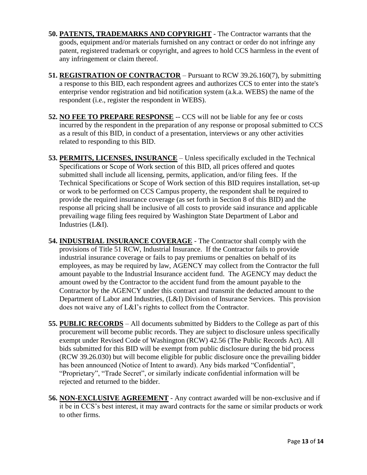- **50. PATENTS, TRADEMARKS AND COPYRIGHT** The Contractor warrants that the goods, equipment and/or materials furnished on any contract or order do not infringe any patent, registered trademark or copyright, and agrees to hold CCS harmless in the event of any infringement or claim thereof.
- **51. REGISTRATION OF CONTRACTOR** Pursuant to RCW 39.26.160(7), by submitting a response to this BID, each respondent agrees and authorizes CCS to enter into the state's enterprise vendor registration and bid notification system (a.k.a. WEBS) the name of the respondent (i.e., register the respondent in WEBS).
- **52. NO FEE TO PREPARE RESPONSE** -- CCS will not be liable for any fee or costs incurred by the respondent in the preparation of any response or proposal submitted to CCS as a result of this BID, in conduct of a presentation, interviews or any other activities related to responding to this BID.
- **53. PERMITS, LICENSES, INSURANCE** Unless specifically excluded in the Technical Specifications or Scope of Work section of this BID, all prices offered and quotes submitted shall include all licensing, permits, application, and/or filing fees. If the Technical Specifications or Scope of Work section of this BID requires installation, set-up or work to be performed on CCS Campus property, the respondent shall be required to provide the required insurance coverage (as set forth in Section 8 of this BID) and the response all pricing shall be inclusive of all costs to provide said insurance and applicable prevailing wage filing fees required by Washington State Department of Labor and Industries (L&I).
- **54. INDUSTRIAL INSURANCE COVERAGE** The Contractor shall comply with the provisions of Title 51 RCW, Industrial Insurance. If the Contractor fails to provide industrial insurance coverage or fails to pay premiums or penalties on behalf of its employees, as may be required by law, AGENCY may collect from the Contractor the full amount payable to the Industrial Insurance accident fund. The AGENCY may deduct the amount owed by the Contractor to the accident fund from the amount payable to the Contractor by the AGENCY under this contract and transmit the deducted amount to the Department of Labor and Industries, (L&I) Division of Insurance Services. This provision does not waive any of L&I's rights to collect from the Contractor.
- **55. PUBLIC RECORDS** All documents submitted by Bidders to the College as part of this procurement will become public records. They are subject to disclosure unless specifically exempt under Revised Code of Washington (RCW) 42.56 (The Public Records Act). All bids submitted for this BID will be exempt from public disclosure during the bid process (RCW 39.26.030) but will become eligible for public disclosure once the prevailing bidder has been announced (Notice of Intent to award). Any bids marked "Confidential", "Proprietary", "Trade Secret", or similarly indicate confidential information will be rejected and returned to the bidder.
- **56. NON-EXCLUSIVE AGREEMENT** Any contract awarded will be non-exclusive and if it be in CCS's best interest, it may award contracts for the same or similar products or work to other firms.